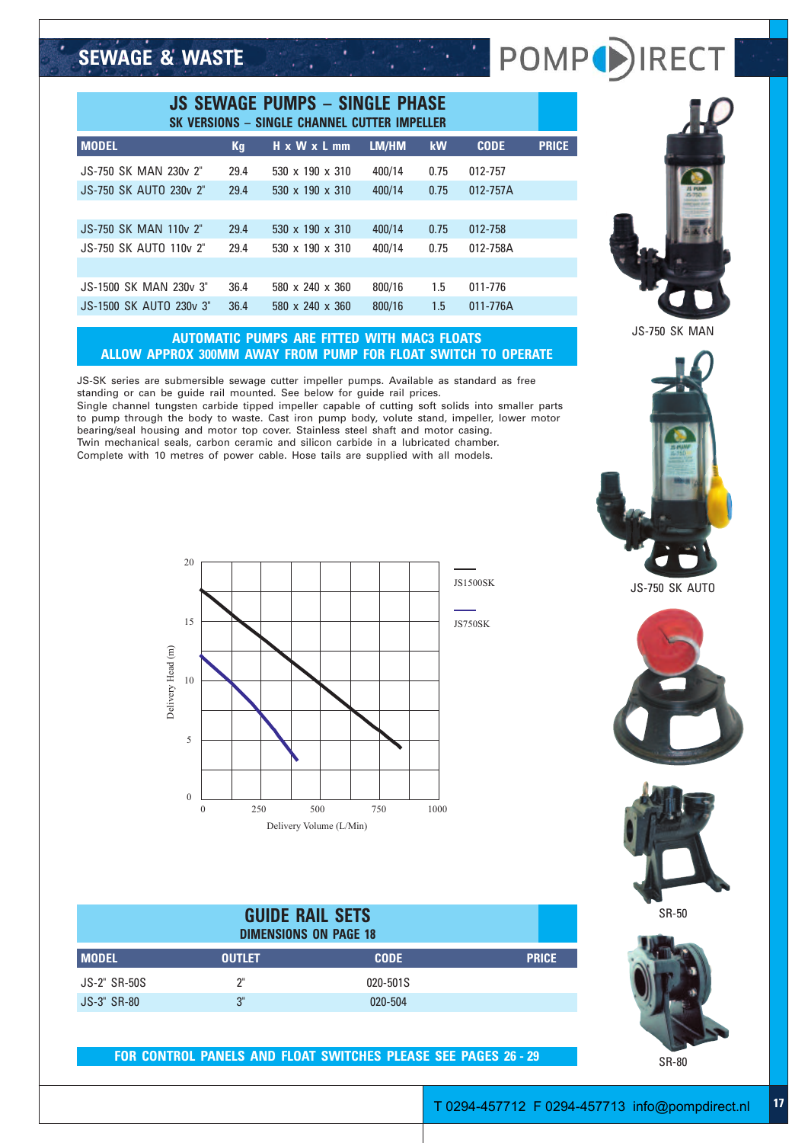## **SEWAGE & WASTE**

| <b>JS SEWAGE PUMPS - SINGLE PHASE</b><br>SK VERSIONS - SINGLE CHANNEL CUTTER IMPELLER |           |                               |        |           |             |              |
|---------------------------------------------------------------------------------------|-----------|-------------------------------|--------|-----------|-------------|--------------|
| <b>MODEL</b>                                                                          | <b>Kg</b> | $H \times W \times L$ mm      | LM/HM  | <b>kW</b> | <b>CODE</b> | <b>PRICE</b> |
| JS-750 SK MAN 230y 2"                                                                 | 29.4      | $530 \times 190 \times 310$   | 400/14 | 0.75      | 012-757     |              |
| JS-750 SK AUTO 230y 2"                                                                | 29.4      | 530 $\times$ 190 $\times$ 310 | 400/14 | 0.75      | 012-757A    |              |
|                                                                                       |           |                               |        |           |             |              |
| <b>JS-750 SK MAN 110v 2"</b>                                                          | 29.4      | 530 $\times$ 190 $\times$ 310 | 400/14 | 0.75      | 012-758     |              |
| JS-750 SK AUTO 110y 2"                                                                | 29.4      | $530 \times 190 \times 310$   | 400/14 | 0.75      | 012-758A    |              |
|                                                                                       |           |                               |        |           |             |              |
| JS-1500 SK MAN 230y 3"                                                                | 36.4      | 580 x 240 x 360               | 800/16 | 1.5       | 011-776     |              |
| JS-1500 SK AUTO 230y 3"                                                               | 36.4      | $580 \times 240 \times 360$   | 800/16 | 1.5       | 011-776A    |              |

## **AUTOMATIC PUMPS ARE FITTED WITH MAC3 FLOATS ALLOW APPROX 300MM AWAY FROM PUMP FOR FLOAT SWITCH TO OPERATE**

JS-SK series are submersible sewage cutter impeller pumps. Available as standard as free standing or can be guide rail mounted. See below for guide rail prices. Single channel tungsten carbide tipped impeller capable of cutting soft solids into smaller parts to pump through the body to waste. Cast iron pump body, volute stand, impeller, lower motor bearing/seal housing and motor top cover. Stainless steel shaft and motor casing. Twin mechanical seals, carbon ceramic and silicon carbide in a lubricated chamber. Complete with 10 metres of power cable. Hose tails are supplied with all models.



## POMP<sup>()</sup>IREC



JS-750 SK MAN



JS-750 SK AUTO





SR-50



SR-80



| <b>MODEL</b>        | <b>OUTLET</b> | <b>CODE</b> | <b>PRICE</b> |
|---------------------|---------------|-------------|--------------|
| <b>JS-2" SR-50S</b> | יירי          | 020-501S    |              |
| <b>JS-3" SR-80</b>  | "2            | 020-504     |              |

**FOR CONTROL PANELS AND FLOAT SWITCHES PLEASE SEE PAGES 26 - 29**